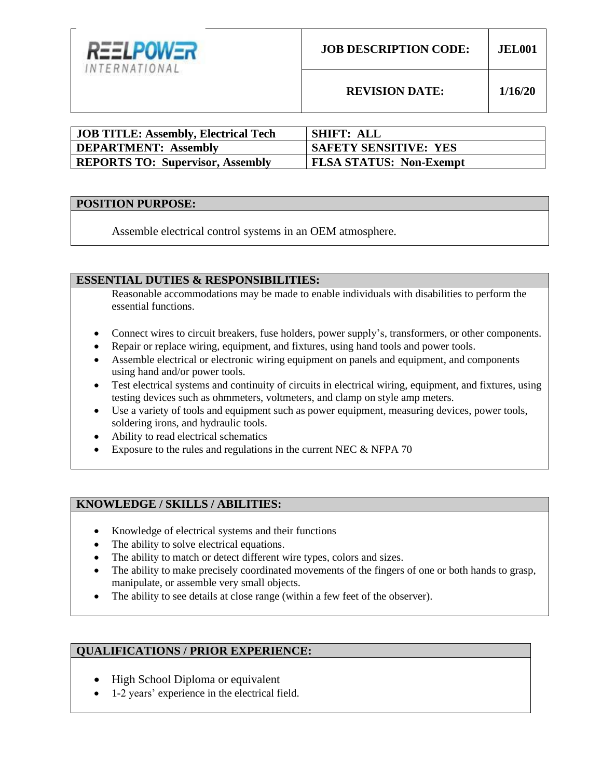

**REVISION DATE: 1/16/20**

| <b>JOB TITLE: Assembly, Electrical Tech</b> | <b>SHIFT: ALL</b>              |
|---------------------------------------------|--------------------------------|
| <b>DEPARTMENT: Assembly</b>                 | <b>SAFETY SENSITIVE: YES</b>   |
| <b>REPORTS TO: Supervisor, Assembly</b>     | <b>FLSA STATUS: Non-Exempt</b> |

#### **POSITION PURPOSE:**

Assemble electrical control systems in an OEM atmosphere.

### **ESSENTIAL DUTIES & RESPONSIBILITIES:**

Reasonable accommodations may be made to enable individuals with disabilities to perform the essential functions.

- Connect wires to circuit breakers, fuse holders, power supply's, transformers, or other components.
- Repair or replace wiring, equipment, and fixtures, using hand tools and power tools.
- Assemble electrical or electronic wiring equipment on panels and equipment, and components using hand and/or power tools.
- Test electrical systems and continuity of circuits in electrical wiring, equipment, and fixtures, using testing devices such as ohmmeters, voltmeters, and clamp on style amp meters.
- Use a variety of tools and equipment such as power equipment, measuring devices, power tools, soldering irons, and hydraulic tools.
- Ability to read electrical schematics
- Exposure to the rules and regulations in the current NEC & NFPA 70

# **KNOWLEDGE / SKILLS / ABILITIES:**

- Knowledge of electrical systems and their functions
- The ability to solve electrical equations.
- The ability to match or detect different wire types, colors and sizes.
- The ability to make precisely coordinated movements of the fingers of one or both hands to grasp, manipulate, or assemble very small objects.
- The ability to see details at close range (within a few feet of the observer).

## **QUALIFICATIONS / PRIOR EXPERIENCE:**

- High School Diploma or equivalent
- 1-2 years' experience in the electrical field.